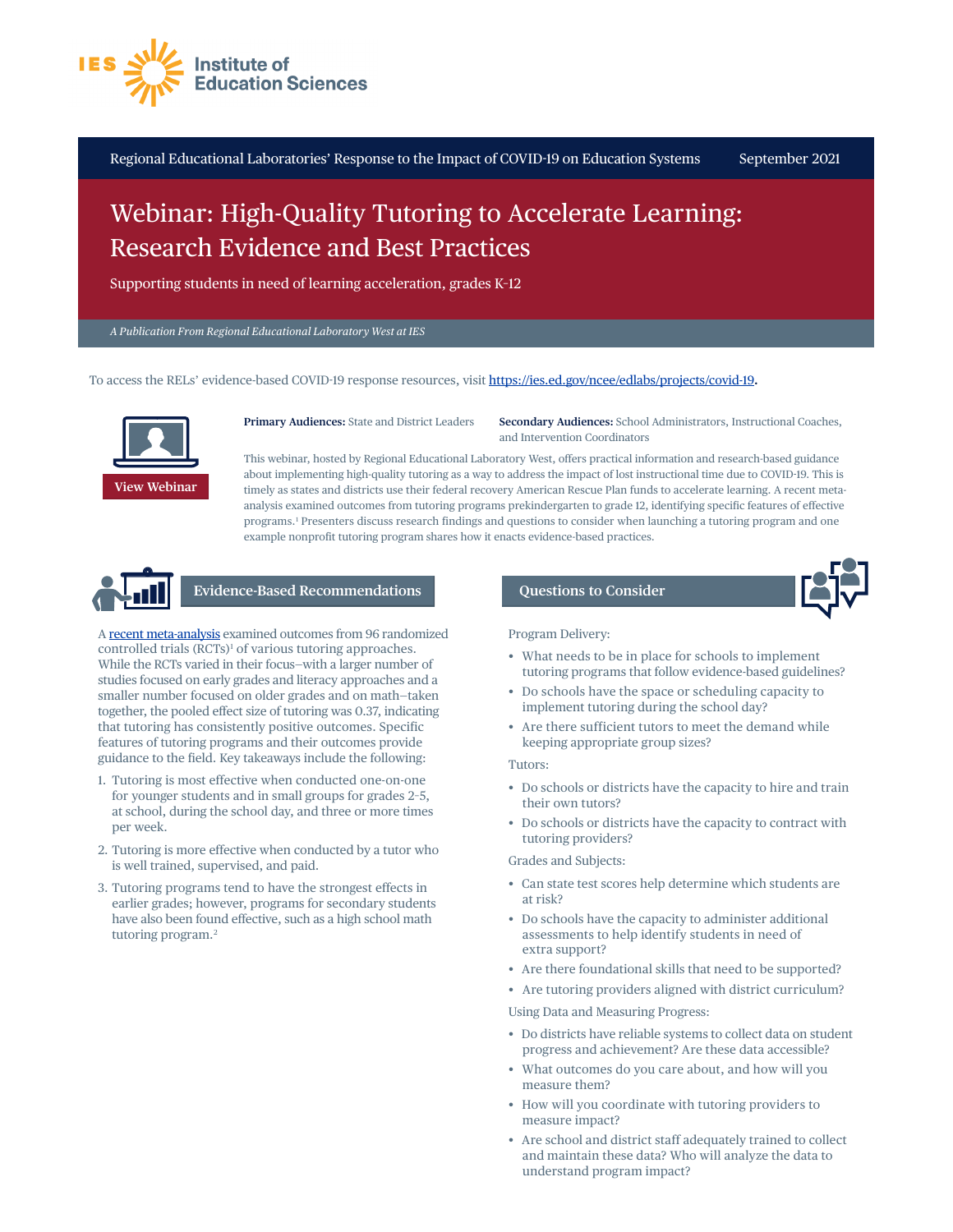

Regional Educational Laboratories' Response to the Impact of COVID-19 on Education Systems September 2021

# Webinar: High-Quality Tutoring to Accelerate Learning: Research Evidence and Best Practices

Supporting students in need of learning acceleration, grades K–12

*A Publication From Regional Educational Laboratory West at IES* 

To access the RELs' evidence-based COVID-19 response resources, visit<https://ies.ed.gov/ncee/edlabs/projects/covid-19>**.** 



**Primary Audiences:** State and District Leaders

**Secondary Audiences:** School Administrators, Instructional Coaches, and Intervention Coordinators

This webinar, hosted by Regional Educational Laboratory West, offers practical information and research-based guidance about implementing high-quality tutoring as a way to address the impact of lost instructional time due to COVID-19. This is timely as states and districts use their federal recovery American Rescue Plan funds to accelerate learning. A recent metaanalysis examined outcomes from tutoring programs prekindergarten to grade 12, identifying specific features of effective programs. [1](#page-1-0) Presenters discuss research findings and questions to consider when launching a tutoring program and one example nonprofit tutoring program shares how it enacts evidence-based practices.



# **Evidence-Based Recommendations**

A [recent meta-analysis](https://www.povertyactionlab.org/publication/transformative-potential-tutoring-pre-k-12-learning-outcomes-lessons-randomized) examined outcomes from 96 randomized controlled trials (RCTs)<sup>1</sup> of various tutoring approaches. While the RCTs varied in their focus—with a larger number of studies focused on early grades and literacy approaches and a smaller number focused on older grades and on math—taken together, the pooled effect size of tutoring was 0.37, indicating that tutoring has consistently positive outcomes. Specific features of tutoring programs and their outcomes provide guidance to the field. Key takeaways include the following:

- 1. Tutoring is most effective when conducted one-on-one for younger students and in small groups for grades 2–5, at school, during the school day, and three or more times per week.
- 2. Tutoring is more effective when conducted by a tutor who is well trained, supervised, and paid.
- 3. Tutoring programs tend to have the strongest effects in earlier grades; however, programs for secondary students have also been found effective, such as a high school math tutoring program[. 2](#page-1-1)

## **Questions to Consider**



Program Delivery:

- What needs to be in place for schools to implement tutoring programs that follow evidence-based guidelines?
- Do schools have the space or scheduling capacity to implement tutoring during the school day?
- Are there sufficient tutors to meet the demand while keeping appropriate group sizes?

### Tutors:

- Do schools or districts have the capacity to hire and train their own tutors?
- Do schools or districts have the capacity to contract with tutoring providers?

#### Grades and Subjects:

- Can state test scores help determine which students are at risk?
- Do schools have the capacity to administer additional assessments to help identify students in need of extra support?
- Are there foundational skills that need to be supported?
- Are tutoring providers aligned with district curriculum?

Using Data and Measuring Progress:

- Do districts have reliable systems to collect data on student progress and achievement? Are these data accessible?
- What outcomes do you care about, and how will you measure them?
- How will you coordinate with tutoring providers to measure impact?
- Are school and district staff adequately trained to collect and maintain these data? Who will analyze the data to understand program impact?